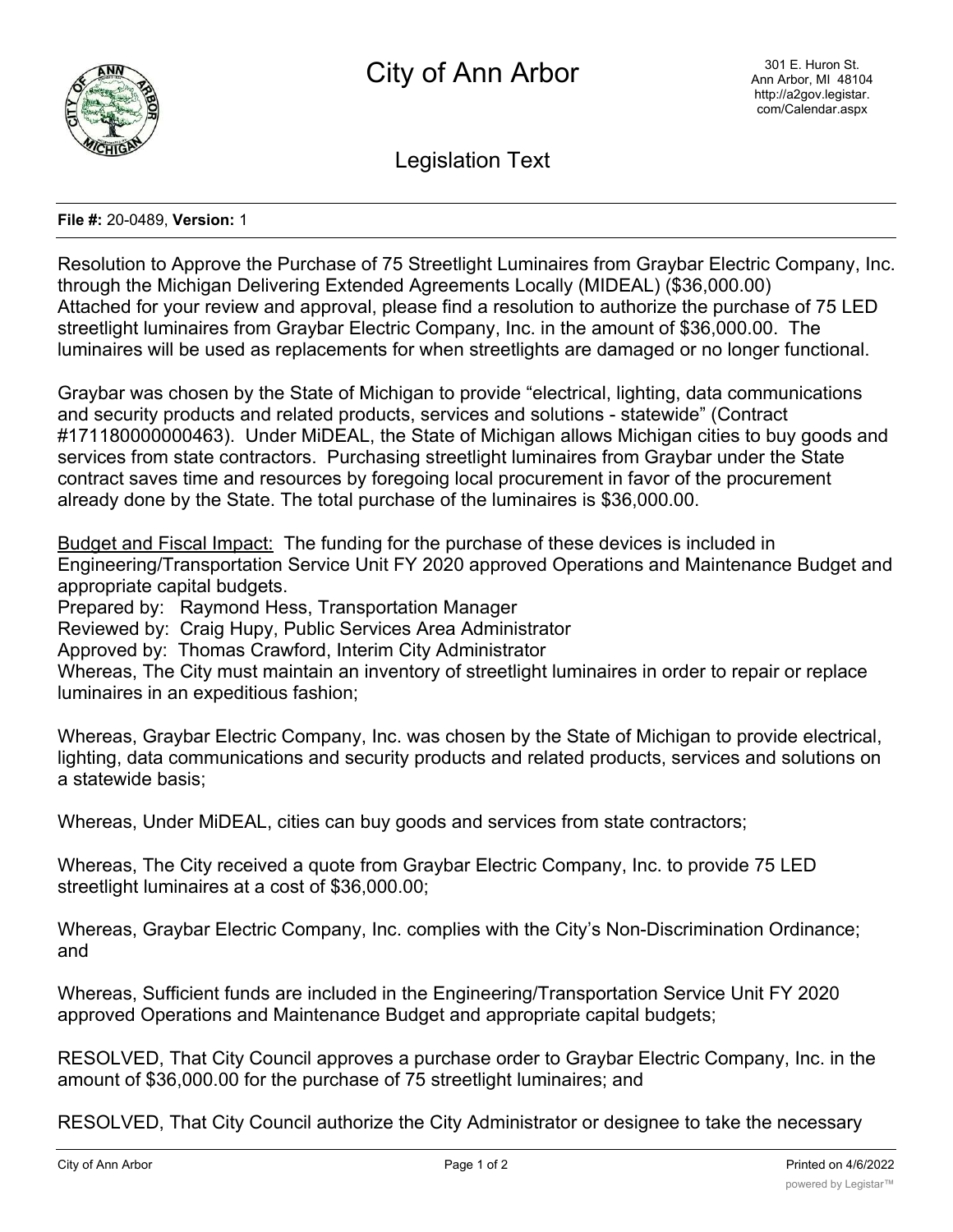

Legislation Text

## **File #:** 20-0489, **Version:** 1

Resolution to Approve the Purchase of 75 Streetlight Luminaires from Graybar Electric Company, Inc. through the Michigan Delivering Extended Agreements Locally (MIDEAL) (\$36,000.00) Attached for your review and approval, please find a resolution to authorize the purchase of 75 LED streetlight luminaires from Graybar Electric Company, Inc. in the amount of \$36,000.00. The luminaires will be used as replacements for when streetlights are damaged or no longer functional.

Graybar was chosen by the State of Michigan to provide "electrical, lighting, data communications and security products and related products, services and solutions - statewide" (Contract #171180000000463). Under MiDEAL, the State of Michigan allows Michigan cities to buy goods and services from state contractors. Purchasing streetlight luminaires from Graybar under the State contract saves time and resources by foregoing local procurement in favor of the procurement already done by the State. The total purchase of the luminaires is \$36,000.00.

Budget and Fiscal Impact: The funding for the purchase of these devices is included in Engineering/Transportation Service Unit FY 2020 approved Operations and Maintenance Budget and appropriate capital budgets.

Prepared by: Raymond Hess, Transportation Manager

Reviewed by: Craig Hupy, Public Services Area Administrator

Approved by: Thomas Crawford, Interim City Administrator

Whereas, The City must maintain an inventory of streetlight luminaires in order to repair or replace luminaires in an expeditious fashion;

Whereas, Graybar Electric Company, Inc. was chosen by the State of Michigan to provide electrical, lighting, data communications and security products and related products, services and solutions on a statewide basis;

Whereas, Under MiDEAL, cities can buy goods and services from state contractors;

Whereas, The City received a quote from Graybar Electric Company, Inc. to provide 75 LED streetlight luminaires at a cost of \$36,000.00;

Whereas, Graybar Electric Company, Inc. complies with the City's Non-Discrimination Ordinance; and

Whereas, Sufficient funds are included in the Engineering/Transportation Service Unit FY 2020 approved Operations and Maintenance Budget and appropriate capital budgets;

RESOLVED, That City Council approves a purchase order to Graybar Electric Company, Inc. in the amount of \$36,000.00 for the purchase of 75 streetlight luminaires; and

RESOLVED, That City Council authorize the City Administrator or designee to take the necessary